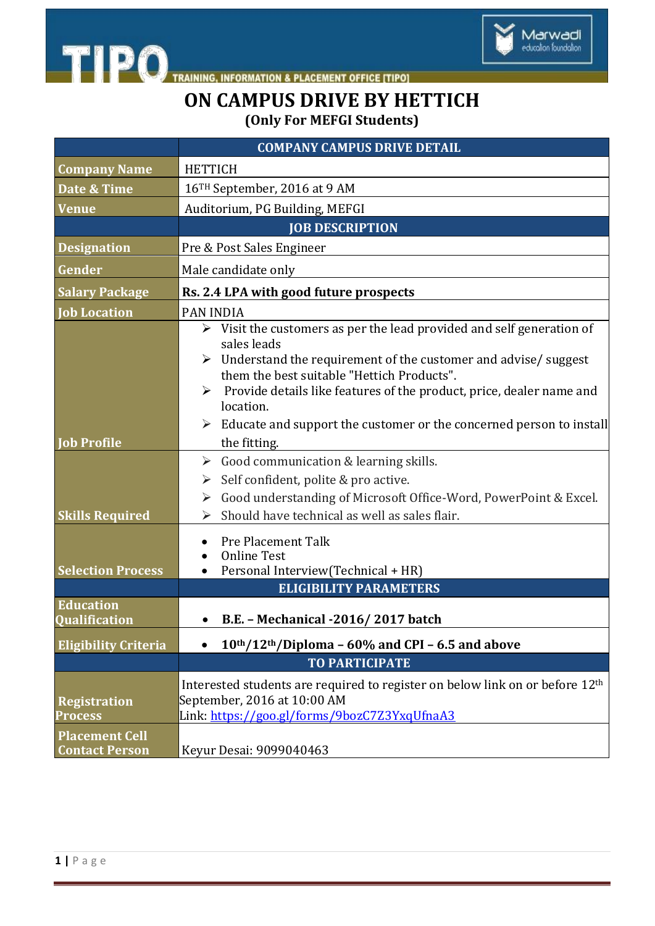

## **ON CAMPUS DRIVE BY HETTICH (Only For MEFGI Students)**

Marwadi<br>education foundation

|                                                | <b>COMPANY CAMPUS DRIVE DETAIL</b>                                                                                                                                                                                  |
|------------------------------------------------|---------------------------------------------------------------------------------------------------------------------------------------------------------------------------------------------------------------------|
| <b>Company Name</b>                            | <b>HETTICH</b>                                                                                                                                                                                                      |
| Date & Time                                    | 16 <sup>TH</sup> September, 2016 at 9 AM                                                                                                                                                                            |
| <b>Venue</b>                                   | Auditorium, PG Building, MEFGI                                                                                                                                                                                      |
|                                                | <b>JOB DESCRIPTION</b>                                                                                                                                                                                              |
| <b>Designation</b>                             | Pre & Post Sales Engineer                                                                                                                                                                                           |
| Gender                                         | Male candidate only                                                                                                                                                                                                 |
| <b>Salary Package</b>                          | Rs. 2.4 LPA with good future prospects                                                                                                                                                                              |
| <b>Job Location</b>                            | <b>PAN INDIA</b>                                                                                                                                                                                                    |
|                                                | $\triangleright$ Visit the customers as per the lead provided and self generation of<br>sales leads<br>Understand the requirement of the customer and advise/ suggest<br>them the best suitable "Hettich Products". |
|                                                | Provide details like features of the product, price, dealer name and<br>$\blacktriangleright$<br>location.                                                                                                          |
| <b>Job Profile</b>                             | Educate and support the customer or the concerned person to install<br>the fitting.                                                                                                                                 |
|                                                | Good communication & learning skills.<br>➤                                                                                                                                                                          |
|                                                | Self confident, polite & pro active.<br>➤                                                                                                                                                                           |
|                                                | Good understanding of Microsoft Office-Word, PowerPoint & Excel.<br>➤                                                                                                                                               |
| <b>Skills Required</b>                         | Should have technical as well as sales flair.<br>⋗                                                                                                                                                                  |
| <b>Selection Process</b>                       | Pre Placement Talk<br><b>Online Test</b><br>Personal Interview(Technical + HR)                                                                                                                                      |
|                                                | <b>ELIGIBILITY PARAMETERS</b>                                                                                                                                                                                       |
| <b>Education</b><br>Qualification              | B.E. - Mechanical -2016/2017 batch                                                                                                                                                                                  |
| <b>Eligibility Criteria</b>                    | 10th/12th/Diploma - 60% and CPI - 6.5 and above                                                                                                                                                                     |
|                                                | <b>TO PARTICIPATE</b>                                                                                                                                                                                               |
| <b>Registration</b><br><b>Process</b>          | Interested students are required to register on below link on or before 12 <sup>th</sup><br>September, 2016 at 10:00 AM<br>Link: https://goo.gl/forms/9bozC7Z3YxqUfnaA3                                             |
| <b>Placement Cell</b><br><b>Contact Person</b> | Keyur Desai: 9099040463                                                                                                                                                                                             |